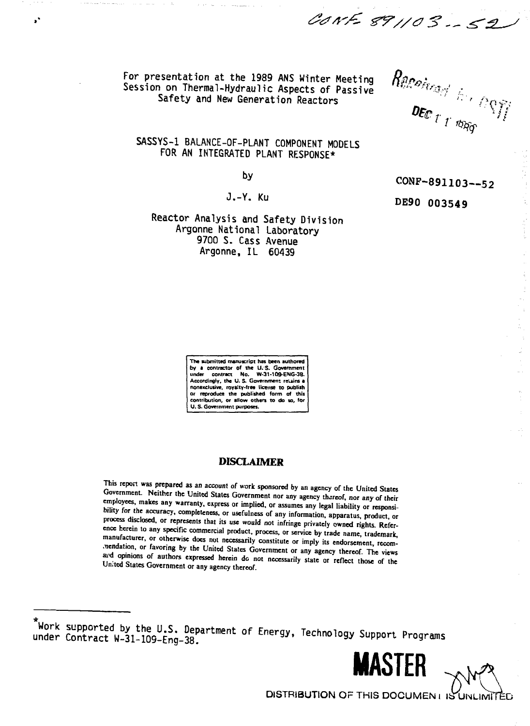For presentation at the 1989 ANS Winter Meeting Session on Thermal-Hydraulic Aspects of Passive Safety and New Generation Reactors

 $\mathbf{r}$ 

 $\begin{array}{cc} \textit{Rucc}_{\textit{target}} & \wedge \\ \textit{Dec}_{\textit{T} \textit{1} \textit{top}} & \wedge \textit{C} \textit{C} \textit{f} \textit{f} \end{array}$ 

SASSYS-1 BALANCE-OF-PLANT COMPONENT MODELS FOR AN INTEGRATED PLANT RESPONSE\*

bγ

 $J_x - Y_x$  Km

CONF-891103--52

 $\bar{\gamma}$ 

Reactor Analysis and Safety Division Argonne National Laboratory 9700 S. Cass Avenue Argonne, IL 60439

DE90 003549

CANE 891103-52

The submitted manuscript has been authored by a contractor of the U.S. Governme contract No. W-31-109-ENG-38. under Accordingly, the U.S. Government retains a nonexclusive, royalty-free license to publish or reproduce the published form of this<br>contribution, or allow others to do so, for U.S. Government purposes.

# **DISCLAIMER**

This report was prepared as an account of work sponsored by an agency of the United States Government. Neither the United States Government nor any agency thereof, nor any of their employees, makes any warranty, express or implied, or assumes any legal liability or responsibility for the accuracy, completeness, or usefulness of any information, apparatus, product, or process disclosed, or represents that its use would not infringe privately owned rights. Reference herein to any specific commercial product, process, or service by trade name, trademark, manufacturer, or otherwise does not necessarily constitute or imply its endorsement, recomnendation, or favoring by the United States Government or any agency thereof. The views and opinions of authors expressed herein do not necessarily state or reflect those of the United States Government or any agency thereof.

Work supported by the U.S. Department of Energy, Technology Support Programs under Contract W-31-109-Eng-38.

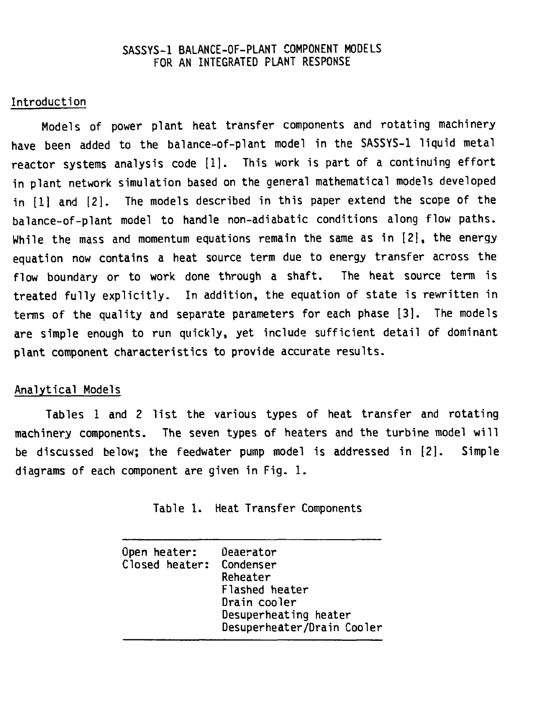## **SASSYS-1 BALANCE-OF-PLANT COMPONENT MODELS FOR AN INTEGRATED PLANT RESPONSE**

## **Introduction**

**Models of power plant heat transfer components and rotating machinery have been added to the balance-of-plant model in the SASSYS-1 liquid metal reactor systems analysis code [1]. This work is part of a continuing effort in plant network simulation based on the general mathematical models developed in [1] and [2]. The models described in this paper extend the scope of the balance-of-plant model to handle non-adiabatic conditions along flow paths. While the mass and momentum equations remain the same as in [2], the energy equation now contains a heat source term due to energy transfer across the flow boundary or to work done through a shaft. The heat source term is treated fully explicitly. In addition, the equation of state is rewritten in terms of the quality and separate parameters for each phase [3]. The models are simple enough to run quickly, yet include sufficient detail of dominant plant component characteristics to provide accurate results.**

## **Analytical Models**

**Tables 1 and 2 list the various types of heat transfer and rotating machinery components. The seven types of heaters and the turbine model will be discussed below; the feedwater pump model is addressed in [2]. Simple diagrams of each component are given in Fig. 1.**

**Table 1. Heat Transfer Components**

| Closed heater: Condenser<br>Reheater<br>Flashed heater<br>Drain cooler<br>Desuperheating heater<br>Desuperheater/Drain Cooler |
|-------------------------------------------------------------------------------------------------------------------------------|
|-------------------------------------------------------------------------------------------------------------------------------|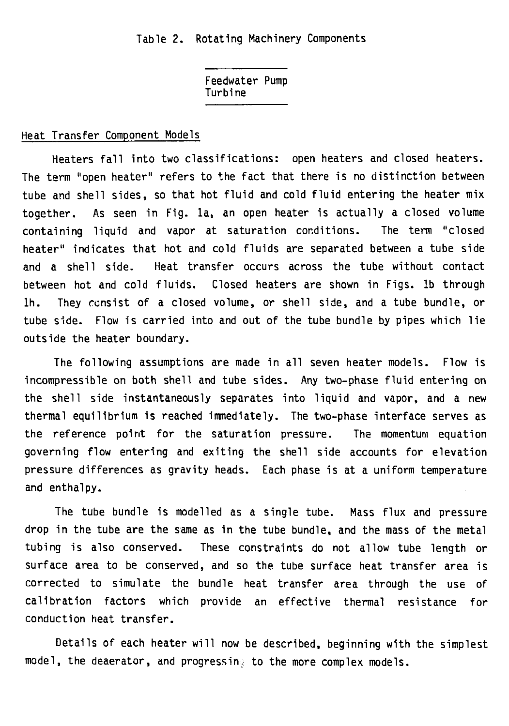**Feedwater Pump Turbine**

## **Heat Transfer Component Models**

**Heaters fall into two classifications: open heaters and closed heaters. The term "open heater" refers to the fact that there is no distinction between tube and shell sides, so that hot fluid and cold fluid entering the heater mix together. As seen in Fig. la, an open heater is actually a closed volume containing liquid and vapor at saturation conditions. The term "closed heater" indicates that hot and cold fluids are separated between a tube side and a shell side. Heat transfer occurs across the tube without contact between hot and cold fluids. Closed heaters are shown in Figs, lb through lh. They consist of a closed volume, or shell side, and a tube bundle, or tube side. Flow is carried into and out of the tube bundle by pipes which lie outside the heater boundary.**

**The following assumptions are made in all seven heater models. Flow is incompressible on both shell and tube sides. Any two-phase fluid entering on the shell side instantaneously separates into liquid and vapor, and a new thermal equilibrium is reached immediately. The two-phase interface serves as the reference point for the saturation pressure. The momentum equation governing flow entering and exiting the shell side accounts for elevation pressure differences as gravity heads. Each phase is at a uniform temperature and enthalpy.**

**The tube bundle is modelled as a single tube. Mass flux and pressure drop in the tube are the same as in the tube bundle, and the mass of the metal tubing is also conserved. These constraints do not allow tube length or surface area to be conserved, and so the tube surface heat transfer area is corrected to simulate the bundle heat transfer area through the use of calibration factors which provide an effective thermal resistance for conduction heat transfer.**

**Details of each heater will now be described, beginning with the simplest model, the deaerator, and progressing to the more complex models.**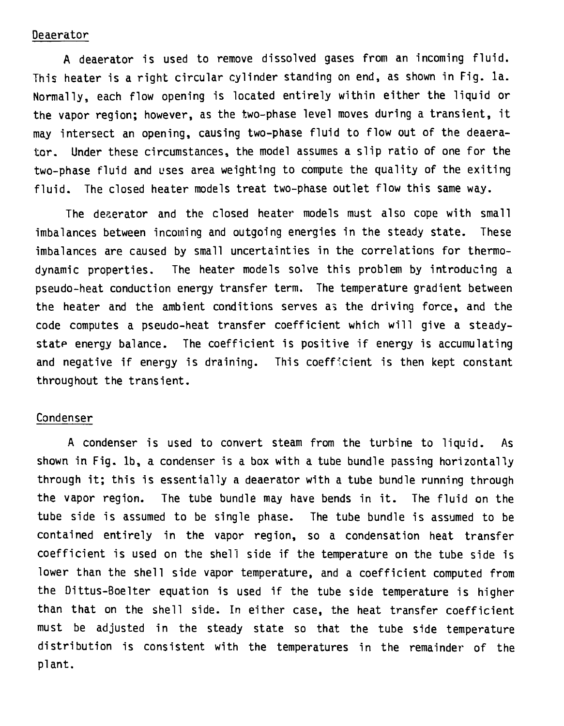### Deaerator

A deaerator is used to remove dissolved gases from an incoming fluid. This heater is a right circular cylinder standing on end, as shown in Fig. la. Normally, each flow opening is located entirely within either the liquid or the vapor region; however, as the two-phase level moves during a transient, it may intersect an opening, causing two-phase fluid to flow out of the deaerator. Under these circumstances, the model assumes a slip ratio of one for the two-phase fluid and uses area weighting to compute the quality of the exiting fluid. The closed heater models treat two-phase outlet flow this same way.

The dezerator and the closed heater models must also cope with small imbalances between incoming and outgoing energies in the steady state. These imbalances are caused by small uncertainties in the correlations for thermodynamic properties. The heater models solve this problem by introducing a pseudo-heat conduction energy transfer term. The temperature gradient between the heater and the ambient conditions serves as the driving force, and the code computes a pseudo-heat transfer coefficient which will give a steadystate energy balance. The coefficient is positive if energy is accumulating and negative if energy is draining. This coefficient is then kept constant throughout the transient.

## Condenser

A condenser is used to convert steam from the turbine to liquid. As shown in Fig. lb, a condenser is a box with a tube bundle passing horizontally through it; this is essentially a deaerator with a tube bundle running through the vapor region. The tube bundle may have bends in it. The fluid on the tube side is assumed to be single phase. The tube bundle is assumed to be contained entirely in the vapor region, so a condensation heat transfer coefficient is used on the shell side if the temperature on the tube side is lower than the shell side vapor temperature, and a coefficient computed from the Dittus-Boelter equation is used if the tube side temperature is higher than that on the shell side. In either case, the heat transfer coefficient must be adjusted in the steady state so that the tube side temperature distribution is consistent with the temperatures in the remainder of the plant.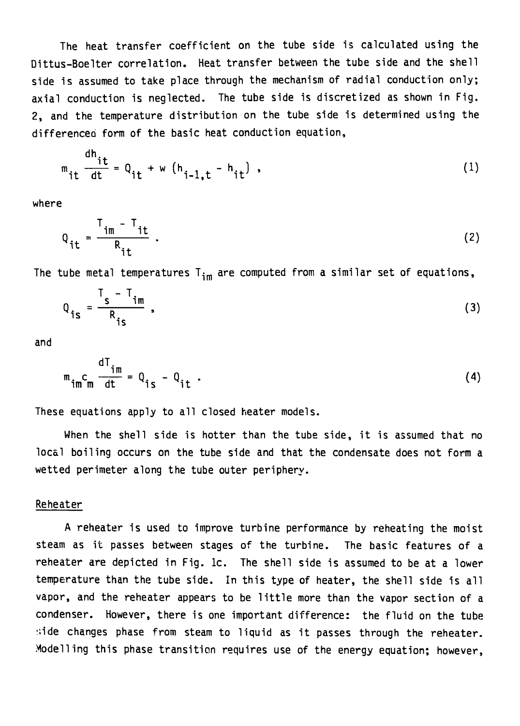**The heat transfer coefficient on the tube side is calculated using the Dittus-Boelter correlation. Heat transfer between the tube side and the shell side is assumed to take place through the mechanism of radial conduction only; axial conduction is neglected. The tube side is discretized as shown in Fig. 2, and the temperature distribution on the tube side is determined using the differenced form of the basic heat conduction equation,**

$$
m_{it} \frac{dh_{it}}{dt} = Q_{it} + w (h_{i-1,t} - h_{it}) \tag{1}
$$

**where**

$$
Q_{it} = \frac{T_{im} - T_{it}}{R_{it}}.
$$

**The tube metal temperatures T<sup>i</sup> <sup>m</sup> are computed from a similar set of equations,**

$$
Q_{\hat{i}s} = \frac{T_s - T_{\hat{i}m}}{R_{\hat{i}s}} \tag{3}
$$

**and**

$$
m_{\hat{t}m}C_m \frac{dI_{\hat{t}m}}{dt} = Q_{\hat{t}S} - Q_{\hat{t}L} \tag{4}
$$

**These equations apply to all closed heater models.**

**When the shell side is hotter than the tube side, it is assumed that no local boiling occurs on the tube side and that the condensate does not form a wetted perimeter along the tube outer periphery.**

#### **Reheater**

**A reheater is used to improve turbine performance by reheating the moist steam as it passes between stages of the turbine. The basic features of a reheater are depicted in Fig. lc. The shell side is assumed to be at a lower temperature than the tube side. In this type of heater, the shell side is all vapor, and the reheater appears to be little more than the vapor section of a condenser. However, there is one important difference: the fluid on the tube :;ide changes phase from steam to liquid as it passes through the reheater. Modelling this phase transition requires use of the energy equation; however,**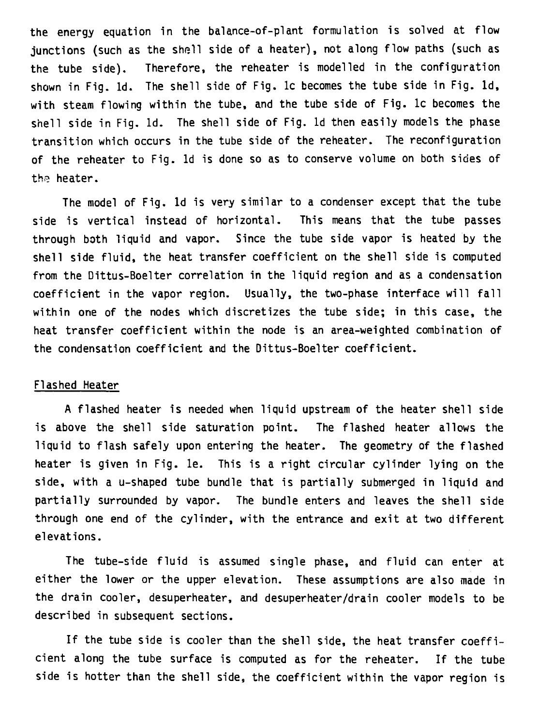**the energy equation in the balance-of-plant formulation is solved at flow junctions (such as the shell side of a heater), not along flow paths (such as the tube side). Therefore, the reheater is modelled in the configuration shown in Fig. Id. The shell side of Fig. lc becomes the tube side in Fig. Id, with steam flowing within the tube, and the tube side of Fig. lc becomes the shell side in Fig. Id. The shell side of Fig. Id then easily models the phase transition which occurs in the tube side of the reheater. The reconfiguration of the reheater to Fig. Id is done so as to conserve volume on both sides of the heater.**

**The model of Fig. Id is very similar to a condenser except that the tube side is vertical instead of horizontal. This means that the tube passes through both liquid and vapor. Since the tube side vapor is heated by the shell side fluid, the heat transfer coefficient on the shell side is computed from the Dittus-Boelter correlation in the liquid region and as a condensation coefficient in the vapor region. Usually, the two-phase interface will fall within one of the nodes which discretizes the tube side; in this case, the heat transfer coefficient within the node is an area-weighted combination of the condensation coefficient and the Dittus-Boelter coefficient.**

#### **Flashed Heater**

**A flashed heater is needed when liquid upstream of the heater shell side is above the shell side saturation point. The flashed heater allows the liquid to flash safely upon entering the heater. The geometry of the flashed heater is given in Fig. le. This is a right circular cylinder lying on the side, with a u-shaped tube bundle that is partially submerged in liquid and partially surrounded by vapor. The bundle enters and leaves the shell side through one end of the cylinder, with the entrance and exit at two different elevations.**

**The tube-side fluid is assumed single phase, and fluid can enter at either the lower or the upper elevation. These assumptions are also made in the drain cooler, desuperheater, and desuperheater/drain cooler models to be described in subsequent sections.**

**If the tube side is cooler than the shell side, the heat transfer coefficient along the tube surface is computed as for the reheater. If the tube side is hotter than the shell side, the coefficient within the vapor region is**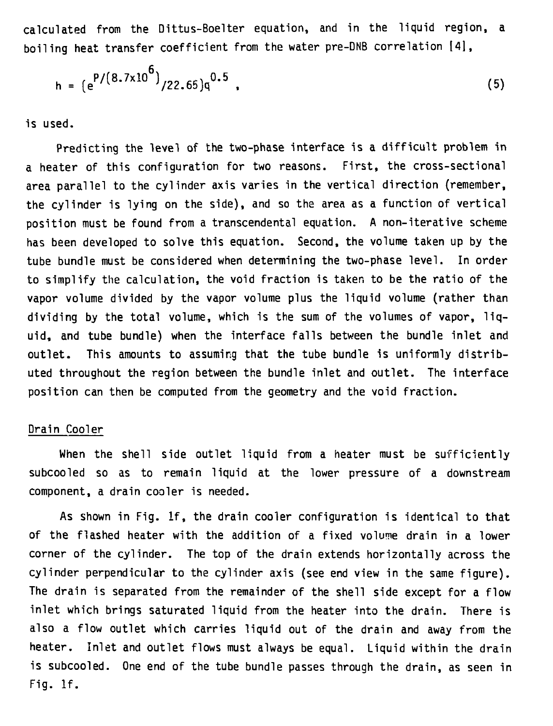**calculated from the Dittus-Boelter equation, and in the liquid region, a boiling heat transfer coefficient from the water pre-DNB correlation [4],**

$$
h = (e^{P/(8.7 \times 10^6)}/22.65)q^{0.5}
$$
 (5)

**is used.**

**Predicting the level of the two-phase interface is a difficult problem in a heater of this configuration for two reasons. First, the cross-sectional area parallel to the cylinder axis varies in the vertical direction (remember, the cylinder is lying on the side), and so the area as a function of vertical position must be found from a transcendental equation. A non-iterative scheme has been developed to solve this equation. Second, the volume taken up by the tube bundle must be considered when determining the two-phase level. In order to simplify the calculation, the void fraction is taken to be the ratio of the vapor volume divided by the vapor volume plus the liquid volume (rather than dividing by the total volume, which is the sum of the volumes of vapor, liquid, and tube bundle) when the interface falls between the bundle inlet and outlet. This amounts to assuming that the tube bundle is uniformly distributed throughout the region between the bundle inlet and outlet. The interface position can then be computed from the geometry and the void fraction.**

#### **Drain Cooler**

**When the shell side outlet liquid from a heater must be sufficiently subcooled so as to remain liquid at the lower pressure of a downstream component, a drain coaler is needed.**

**As shown in Fig. If, the drain cooler configuration is identical to that of the flashed heater with the addition of a fixed volume drain in a lower corner of the cylinder. The top of the drain extends horizontally across the cylinder perpendicular to the cylinder axis (see end view in the same figure). The drain is separated from the remainder of the shell side except for a flow inlet which brings saturated liquid from the heater into the drain. There is also a flow outlet which carries liquid out of the drain and away from the heater. Inlet and outlet flows must always be equal. Liquid within the drain is subcooled. One end of the tube bundle passes through the drain, as seen in Fig. If.**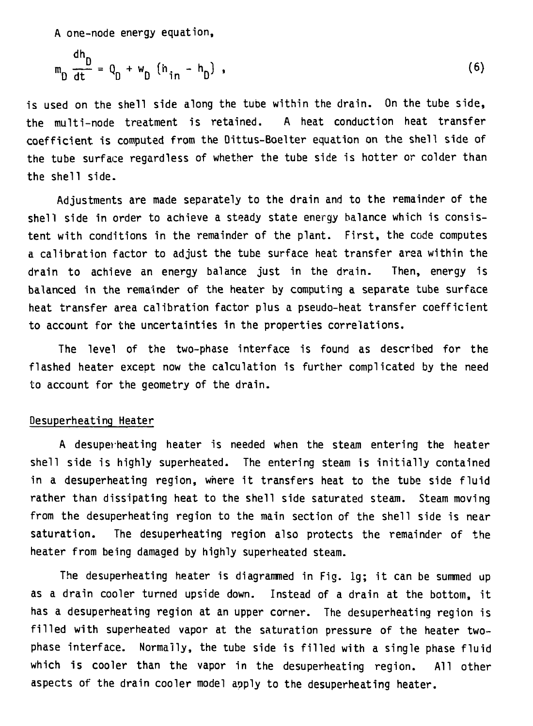A one-node energy equation,

dh

$$
m_{D} \frac{dn}{dt} = Q_{D} + w_{D} (h_{in} - h_{D}), \qquad (6)
$$

**is used on the shell side along the tube within the drain. On the tube side, the multi-node treatment is retained. A heat conduction heat transfer coefficient is computed from the Dittus-Boelter equation on the shell side of the tube surface regardless of whether the tube side is hotter or colder than the shell side.**

**Adjustments are made separately to the drain and to the remainder of the shell side in order to achieve a steady state energy balance which is consistent with conditions in the remainder of the plant. First, the code computes a calibration factor to adjust the tube surface heat transfer area within the drain to achieve an energy balance just in the drain. Then, energy is balanced in the remainder of the heater by computing a separate tube surface heat transfer area calibration factor plus a pseudo-heat transfer coefficient to account for the uncertainties in the properties correlations.**

**The level of the two-phase interface is found as described for the flashed heater except now the calculation is further complicated by the need to account for the geometry of the drain.**

### **Desuperheatinq Heater**

**A desuperheating heater is needed when the steam entering the heater shell side is highly superheated. The entering steam is initially contained in a desuperheating region, where it transfers heat to the tube side fluid rather than dissipating heat to the shell side saturated steam. Steam moving from the desuperheating region to the main section of the shell side is near saturation. The desuperheating region also protects the remainder of the heater from being damaged by highly superheated steam.**

**The desuperheating heater is diagrammed in Fig. lg; it can be summed up as a drain cooler turned upside down. Instead of a drain at the bottom, it has a desuperheating region at an upper corner. The desuperheating region is filled with superheated vapor at the saturation pressure of the heater twophase interface. Normally, the tube side is filled with a single phase fluid which is cooler than the vapor in the desuperheating region. All other aspects of the drain cooler model apply to the desuperheating heater.**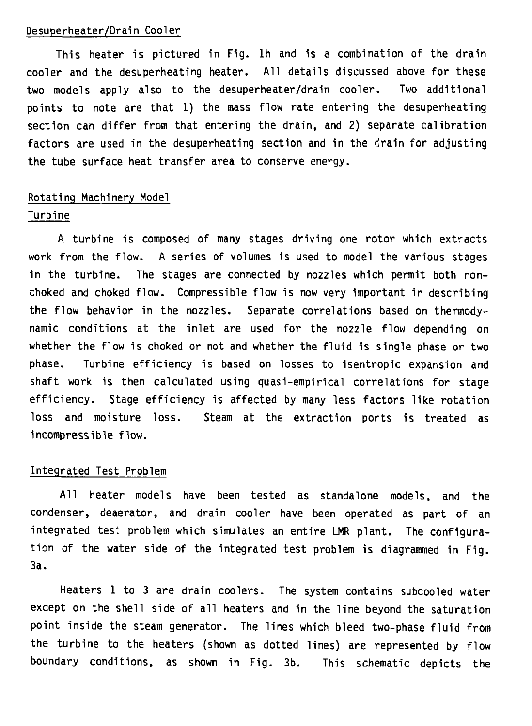#### **Desuperheater/Drain Cooler**

**This heater is pictured in Fig. Ih and is a combination of the drain cooler and the desuperheating heater. All details discussed above for these two models apply also to the desuperheater/drain cooler. Two additional points to note are that 1) the mass flow rate entering the desuperheating section can differ from that entering the drain, and 2) separate calibration factors are used in the desuperheating section and in the drain for adjusting the tube surface heat transfer area to conserve energy.**

# **Rotating Machinery Model Turbine**

**A turbine is composed of many stages driving one rotor which extracts work from the flow. A series of volumes is used to model the various stages in the turbine. The stages are connected by nozzles which permit both nonchoked and choked flow. Compressible flow is now very important in describing the flow behavior in the nozzles. Separate correlations based on thermodynamic conditions at the inlet are used for the nozzle flow depending on whether the flow is choked or not and whether the fluid is single phase or two phase. Turbine efficiency is based on losses to isentropic expansion and shaft work is then calculated using quasi-empirical correlations for stage efficiency. Stage efficiency is affected by many less factors like rotation loss and moisture loss. Steam at the extraction ports is treated as incompressible flow.**

### **Integrated Test Problem**

**All heater models have been tested as standalone models, and the condenser, deaerator, and drain cooler have been operated as part of an integrated test problem which simulates an entire LMR plant. The configuration of the water side of the integrated test problem is diagrammed in Fig. 3a.**

**Heaters 1 to 3 are drain coolers. The system contains subcooled water except on the shell side of all heaters and in the line beyond the saturation point inside the steam generator. The lines which bleed two-phase fluid from the turbine to the heaters (shown as dotted lines) are represented by flow boundary conditions, as shown in Fig. 3b. This schematic depicts the**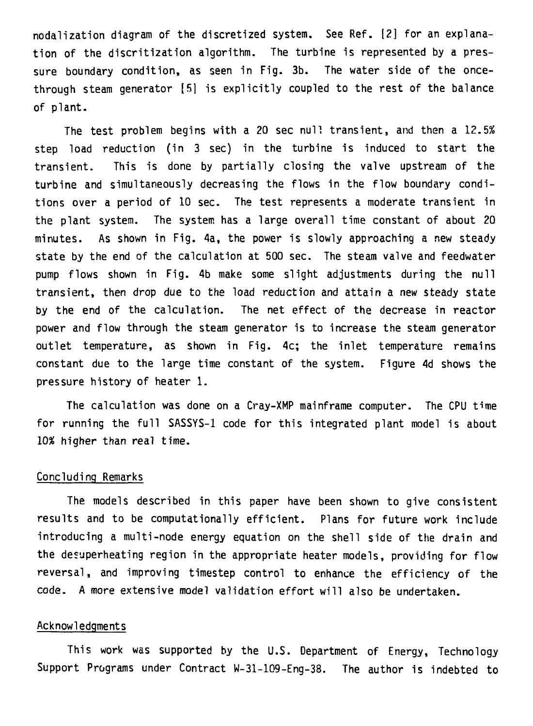**nodalization diagram of the discretized system. See Ref. [2] for an explanation of the discritization algorithm. The turbine is represented by a pressure boundary condition, as seen in Fig. 3b. The water side of the oncethrough steam generator [5] is explicitly coupled to the rest of the balance of plant.**

**The test problem begins with a 20 sec null transient, and then a 12.5% step load reduction (in 3 sec) in the turbine is induced to start the transient. This is done by partially closing the valve upstream of the turbine and simultaneously decreasing the flows in the flow boundary conditions over a period of 10 sec. The test represents a moderate transient in the plant system. The system has a large overall time constant of about 20 minutes. As shown in Fig. 4a, the power is slowly approaching a new steady state by the end of the calculation at 500 sec. The steam valve and feedwater pump flows shown in Fig. 4b make some slight adjustments during the null transient, then drop due to the load reduction and attain a new steady state by the end of the calculation. The net effect of the decrease in reactor power and flow through the steam generator is to increase the steam generator outlet temperature, as shown in Fig. 4c; the inlet temperature remains constant due to the large time constant of the system. Figure 4d shows the pressure history of heater 1.**

**The calculation was done on a Cray-XMP mainframe computer. The CPU time for running the full SASSYS-1 code for this integrated plant model is about higher than real time.**

#### **Concluding Remarks**

**The models described in this paper have been shown to give consistent results and to be computationally efficient. Plans for future work include introducing a multi-node energy equation on the shell side of the drain and the desuperheating region in the appropriate heater models, providing for flow reversal, and improving timestep control to enhance the efficiency of the code. A more extensive model validation effort will also be undertaken.**

### **Acknowledgments**

**This work was supported by the U.S. Department of Energy, Technology Support Programs under Contract W-31-109-Eng-38. The author is indebted to**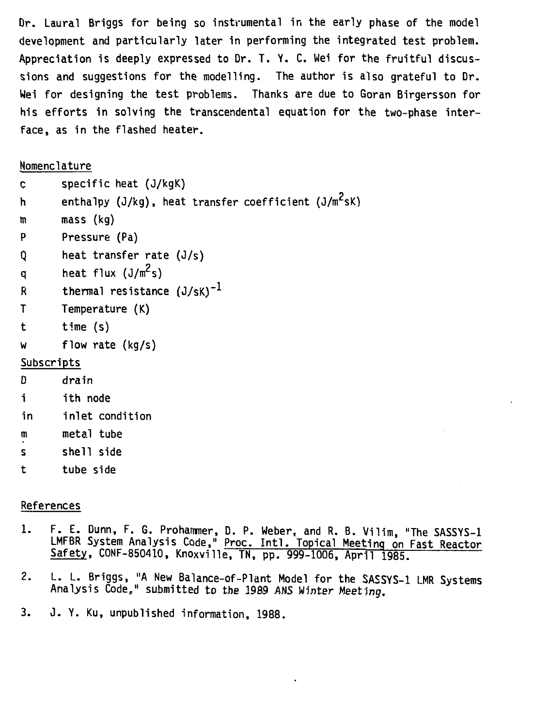**Dr. Laural Briggs for being so instrumental in the early phase of the model development and particularly later in performing the integrated test problem. Appreciation is deeply expressed to Dr. T. Y. C. Wei for the fruitful discussions and suggestions for the modelling. The author is also grateful to Dr. Wei for designing the test problems. Thanks are due to Goran Birgersson for his efforts in solving the transcendental equation for the two-phase interface, as in the flashed heater.**

# **Nomenclature**

| c           | specific heat (J/kgK)                                            |
|-------------|------------------------------------------------------------------|
| h           | enthalpy (J/kg), heat transfer coefficient (J/m <sup>2</sup> sK) |
| m           | $mass$ (kg)                                                      |
| P           | Pressure (Pa)                                                    |
| Q           | heat transfer rate $(J/s)$                                       |
| q           | heat flux $(J/m^2s)$                                             |
| R           | thermal resistance $(J/sK)^{-1}$                                 |
| $\mathsf T$ | Temperature (K)                                                  |
| t i         | time (s)                                                         |
| W           | flow rate (kg/s)                                                 |
| Subscripts  |                                                                  |
| D           | drain                                                            |

- **i ith node**
- **in inlet condition**
- **m metal tube**
- **s shell side**
- **t tube side**

# **References**

- **1. F. E. Dunn, F. G. Prohammer, D. P. Weber, and R. B. Vilim, "The SASSYS-1 LMFBR System Analysis Code," Proc. Intl. Topical Meeting on Fast Reactor Safety, CONF-850410, Knoxville, TN, pp. 999-1006, April 1985.**
- **2. L. L. Briggs, "A New Baiance-of-Plant Model for the SASSYS-1 LMR Systems Analysis Code," submitted to the 1989 AHS Winter Meeting.**
- **3. J. Y. Ku, unpublished information, 1988.**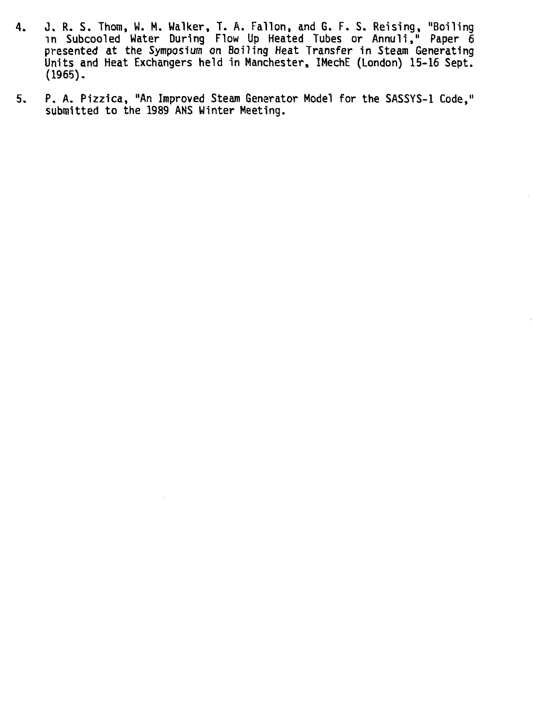- **4. 0. R. S. Thorn, W. M. Walker, T. A. Fallon, and G. F. S. Reising, "Boiling in Subcooled Water During Flow Up Heated Tubes or Annuli," Paper 6 presented at the Symposium on Boiling Heat Transfer in Steam Generating Units and Heat Exchangers held in Manchester, IMechE (London) 15-16 Sept. (1965).**
- **5. P. A. Pizzica, "An Improved Steam Generator Model for the SASSYS-1 Code," submitted to the 1989 ANS Winter Meeting.**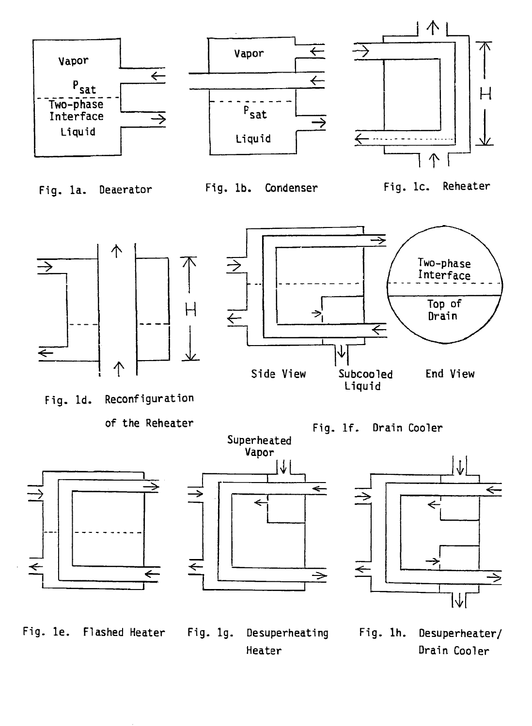

**Fig. le. Flashed Heater Fig. lg. Desuperheating Fig. lh. Desuperheater/ Heater Drain Cooler**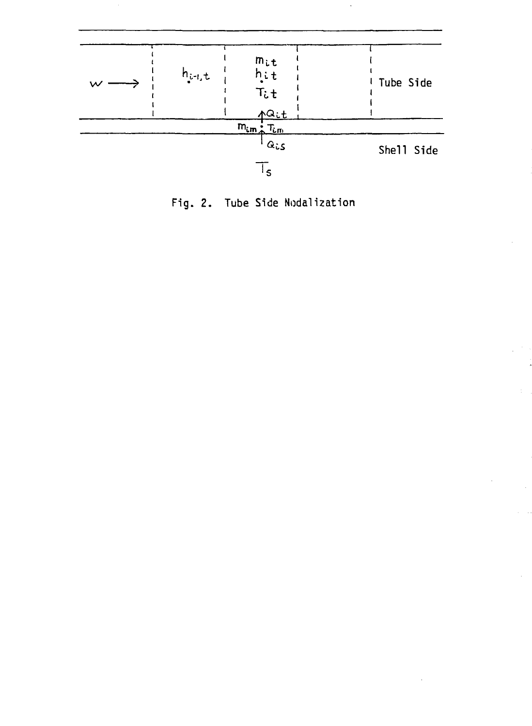

**Fig. 2. Tube Side Nodalization**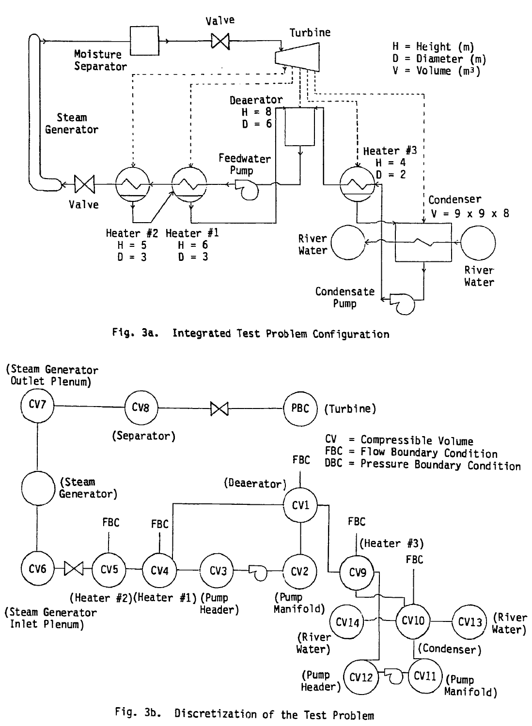

**Fig. 3a. Integrated Test Problem Configuration**



**Fig. 3b. Discretization of the Test Problem**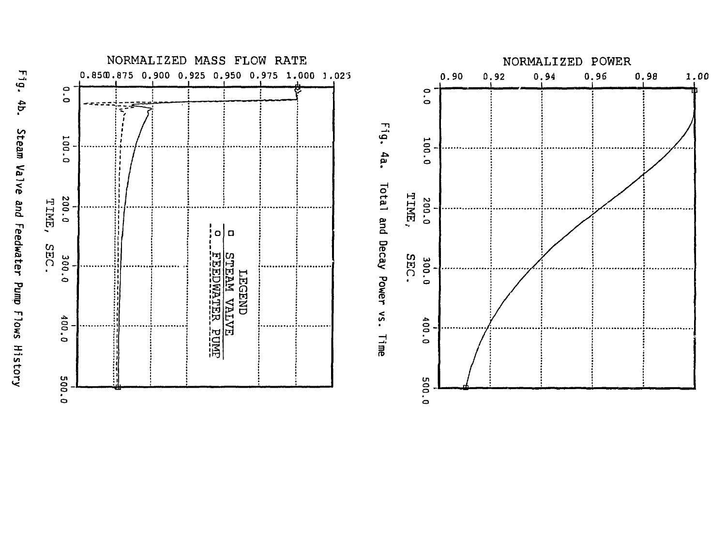



NORMALIZED POWER